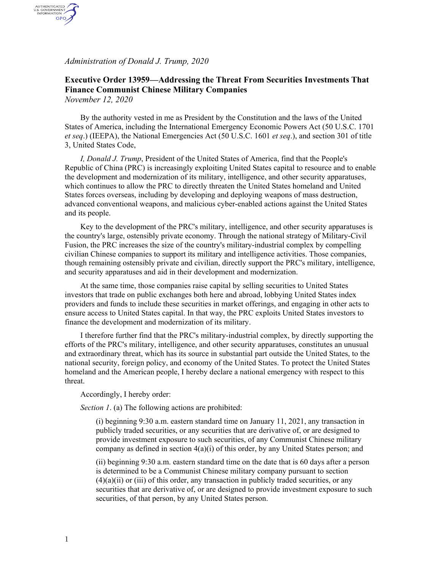*Administration of Donald J. Trump, 2020*

AUTHENTICATED<br>U.S. GOVERNMENT<br>INFORMATION GPO

## **Executive Order 13959—Addressing the Threat From Securities Investments That Finance Communist Chinese Military Companies** *November 12, 2020*

By the authority vested in me as President by the Constitution and the laws of the United States of America, including the International Emergency Economic Powers Act (50 U.S.C. 1701 *et seq*.) (IEEPA), the National Emergencies Act (50 U.S.C. 1601 *et seq*.), and section 301 of title 3, United States Code,

*I, Donald J. Trump*, President of the United States of America, find that the People's Republic of China (PRC) is increasingly exploiting United States capital to resource and to enable the development and modernization of its military, intelligence, and other security apparatuses, which continues to allow the PRC to directly threaten the United States homeland and United States forces overseas, including by developing and deploying weapons of mass destruction, advanced conventional weapons, and malicious cyber-enabled actions against the United States and its people.

Key to the development of the PRC's military, intelligence, and other security apparatuses is the country's large, ostensibly private economy. Through the national strategy of Military-Civil Fusion, the PRC increases the size of the country's military-industrial complex by compelling civilian Chinese companies to support its military and intelligence activities. Those companies, though remaining ostensibly private and civilian, directly support the PRC's military, intelligence, and security apparatuses and aid in their development and modernization.

At the same time, those companies raise capital by selling securities to United States investors that trade on public exchanges both here and abroad, lobbying United States index providers and funds to include these securities in market offerings, and engaging in other acts to ensure access to United States capital. In that way, the PRC exploits United States investors to finance the development and modernization of its military.

I therefore further find that the PRC's military-industrial complex, by directly supporting the efforts of the PRC's military, intelligence, and other security apparatuses, constitutes an unusual and extraordinary threat, which has its source in substantial part outside the United States, to the national security, foreign policy, and economy of the United States. To protect the United States homeland and the American people, I hereby declare a national emergency with respect to this threat.

Accordingly, I hereby order:

*Section 1*. (a) The following actions are prohibited:

(i) beginning 9:30 a.m. eastern standard time on January 11, 2021, any transaction in publicly traded securities, or any securities that are derivative of, or are designed to provide investment exposure to such securities, of any Communist Chinese military company as defined in section  $4(a)(i)$  of this order, by any United States person; and

(ii) beginning 9:30 a.m. eastern standard time on the date that is 60 days after a person is determined to be a Communist Chinese military company pursuant to section  $(4)(a)(ii)$  or (iii) of this order, any transaction in publicly traded securities, or any securities that are derivative of, or are designed to provide investment exposure to such securities, of that person, by any United States person.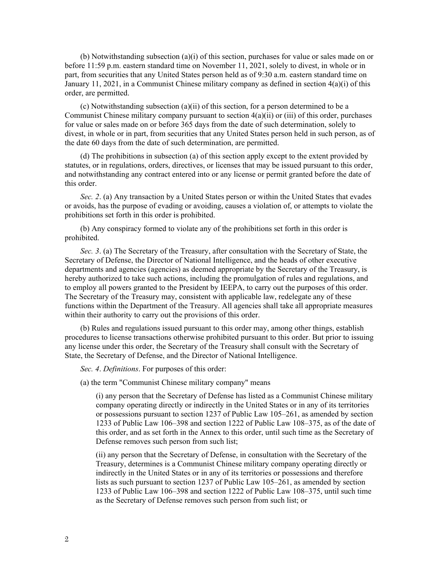(b) Notwithstanding subsection (a)(i) of this section, purchases for value or sales made on or before 11:59 p.m. eastern standard time on November 11, 2021, solely to divest, in whole or in part, from securities that any United States person held as of 9:30 a.m. eastern standard time on January 11, 2021, in a Communist Chinese military company as defined in section 4(a)(i) of this order, are permitted.

(c) Notwithstanding subsection (a)(ii) of this section, for a person determined to be a Communist Chinese military company pursuant to section  $4(a)(ii)$  or (iii) of this order, purchases for value or sales made on or before 365 days from the date of such determination, solely to divest, in whole or in part, from securities that any United States person held in such person, as of the date 60 days from the date of such determination, are permitted.

(d) The prohibitions in subsection (a) of this section apply except to the extent provided by statutes, or in regulations, orders, directives, or licenses that may be issued pursuant to this order, and notwithstanding any contract entered into or any license or permit granted before the date of this order.

*Sec. 2*. (a) Any transaction by a United States person or within the United States that evades or avoids, has the purpose of evading or avoiding, causes a violation of, or attempts to violate the prohibitions set forth in this order is prohibited.

(b) Any conspiracy formed to violate any of the prohibitions set forth in this order is prohibited.

*Sec. 3*. (a) The Secretary of the Treasury, after consultation with the Secretary of State, the Secretary of Defense, the Director of National Intelligence, and the heads of other executive departments and agencies (agencies) as deemed appropriate by the Secretary of the Treasury, is hereby authorized to take such actions, including the promulgation of rules and regulations, and to employ all powers granted to the President by IEEPA, to carry out the purposes of this order. The Secretary of the Treasury may, consistent with applicable law, redelegate any of these functions within the Department of the Treasury. All agencies shall take all appropriate measures within their authority to carry out the provisions of this order.

(b) Rules and regulations issued pursuant to this order may, among other things, establish procedures to license transactions otherwise prohibited pursuant to this order. But prior to issuing any license under this order, the Secretary of the Treasury shall consult with the Secretary of State, the Secretary of Defense, and the Director of National Intelligence.

*Sec. 4*. *Definitions*. For purposes of this order:

(a) the term "Communist Chinese military company" means

(i) any person that the Secretary of Defense has listed as a Communist Chinese military company operating directly or indirectly in the United States or in any of its territories or possessions pursuant to section 1237 of Public Law 105–261, as amended by section 1233 of Public Law 106–398 and section 1222 of Public Law 108–375, as of the date of this order, and as set forth in the Annex to this order, until such time as the Secretary of Defense removes such person from such list;

(ii) any person that the Secretary of Defense, in consultation with the Secretary of the Treasury, determines is a Communist Chinese military company operating directly or indirectly in the United States or in any of its territories or possessions and therefore lists as such pursuant to section 1237 of Public Law 105–261, as amended by section 1233 of Public Law 106–398 and section 1222 of Public Law 108–375, until such time as the Secretary of Defense removes such person from such list; or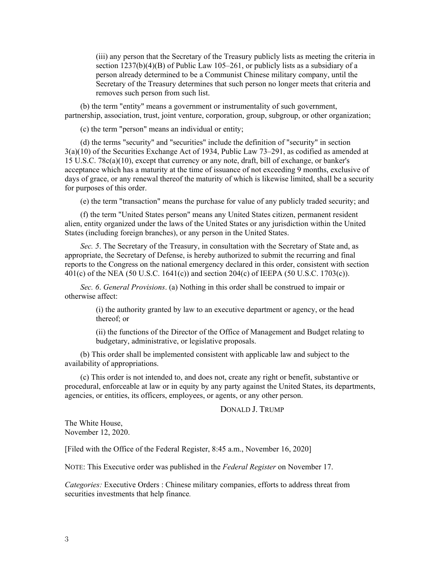(iii) any person that the Secretary of the Treasury publicly lists as meeting the criteria in section  $1237(b)(4)(B)$  of Public Law 105–261, or publicly lists as a subsidiary of a person already determined to be a Communist Chinese military company, until the Secretary of the Treasury determines that such person no longer meets that criteria and removes such person from such list.

(b) the term "entity" means a government or instrumentality of such government, partnership, association, trust, joint venture, corporation, group, subgroup, or other organization;

(c) the term "person" means an individual or entity;

(d) the terms "security" and "securities" include the definition of "security" in section 3(a)(10) of the Securities Exchange Act of 1934, Public Law 73–291, as codified as amended at 15 U.S.C. 78c(a)(10), except that currency or any note, draft, bill of exchange, or banker's acceptance which has a maturity at the time of issuance of not exceeding 9 months, exclusive of days of grace, or any renewal thereof the maturity of which is likewise limited, shall be a security for purposes of this order.

(e) the term "transaction" means the purchase for value of any publicly traded security; and

(f) the term "United States person" means any United States citizen, permanent resident alien, entity organized under the laws of the United States or any jurisdiction within the United States (including foreign branches), or any person in the United States.

*Sec. 5*. The Secretary of the Treasury, in consultation with the Secretary of State and, as appropriate, the Secretary of Defense, is hereby authorized to submit the recurring and final reports to the Congress on the national emergency declared in this order, consistent with section 401(c) of the NEA (50 U.S.C. 1641(c)) and section 204(c) of IEEPA (50 U.S.C. 1703(c)).

*Sec. 6*. *General Provisions*. (a) Nothing in this order shall be construed to impair or otherwise affect:

> (i) the authority granted by law to an executive department or agency, or the head thereof; or

(ii) the functions of the Director of the Office of Management and Budget relating to budgetary, administrative, or legislative proposals.

(b) This order shall be implemented consistent with applicable law and subject to the availability of appropriations.

(c) This order is not intended to, and does not, create any right or benefit, substantive or procedural, enforceable at law or in equity by any party against the United States, its departments, agencies, or entities, its officers, employees, or agents, or any other person.

## DONALD J. TRUMP

The White House, November 12, 2020.

[Filed with the Office of the Federal Register, 8:45 a.m., November 16, 2020]

NOTE: This Executive order was published in the *Federal Register* on November 17.

*Categories:* Executive Orders : Chinese military companies, efforts to address threat from securities investments that help finance*.*